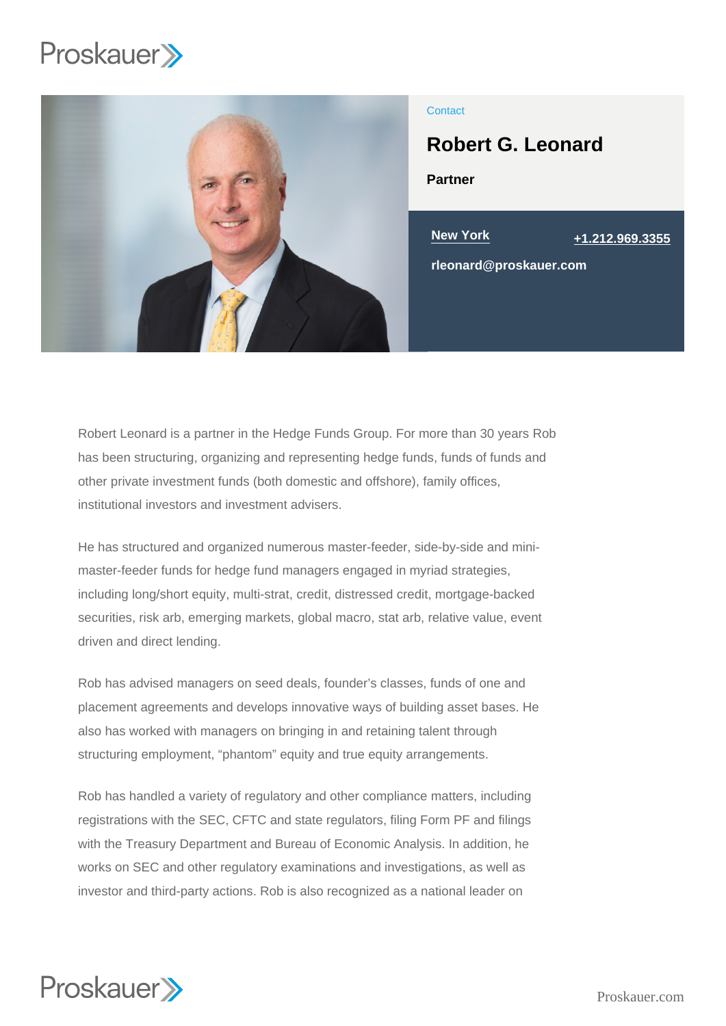

### **Contact**

Robert G. Leonard

Partner



Robert Leonard is a partner in the Hedge Funds Group. For more than 30 years Rob has been structuring, organizing and representing hedge funds, funds of funds and other private investment funds (both domestic and offshore), family offices, institutional investors and investment advisers.

He has structured and organized numerous master-feeder, side-by-side and minimaster-feeder funds for hedge fund managers engaged in myriad strategies, including long/short equity, multi-strat, credit, distressed credit, mortgage-backed securities, risk arb, emerging markets, global macro, stat arb, relative value, event driven and direct lending.

Rob has advised managers on seed deals, founder's classes, funds of one and placement agreements and develops innovative ways of building asset bases. He also has worked with managers on bringing in and retaining talent through structuring employment, "phantom" equity and true equity arrangements.

Rob has handled a variety of regulatory and other compliance matters, including registrations with the SEC, CFTC and state regulators, filing Form PF and filings with the Treasury Department and Bureau of Economic Analysis. In addition, he works on SEC and other regulatory examinations and investigations, as well as investor and third-party actions. Rob is also recognized as a national leader on

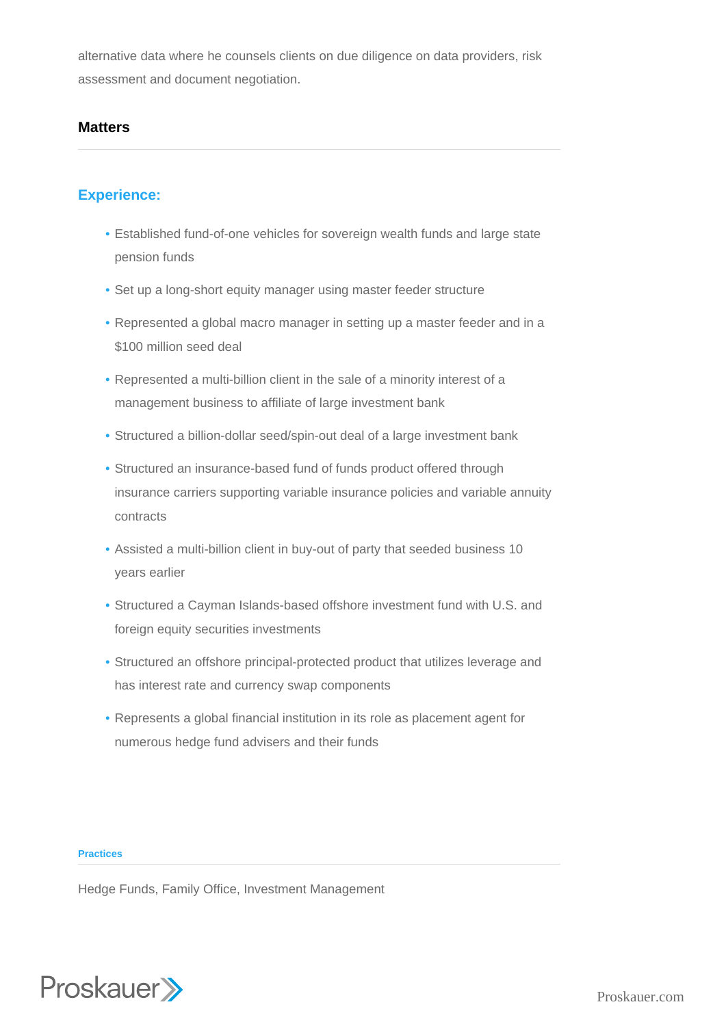alternative data where he counsels clients on due diligence on data providers, risk assessment and document negotiation.

## **Matters**

# **Experience:**

- Established fund-of-one vehicles for sovereign wealth funds and large state pension funds
- Set up a long-short equity manager using master feeder structure
- Represented a global macro manager in setting up a master feeder and in a \$100 million seed deal
- Represented a multi-billion client in the sale of a minority interest of a management business to affiliate of large investment bank
- Structured a billion-dollar seed/spin-out deal of a large investment bank
- Structured an insurance-based fund of funds product offered through insurance carriers supporting variable insurance policies and variable annuity contracts
- Assisted a multi-billion client in buy-out of party that seeded business 10 years earlier
- Structured a Cayman Islands-based offshore investment fund with U.S. and foreign equity securities investments
- Structured an offshore principal-protected product that utilizes leverage and has interest rate and currency swap components
- Represents a global financial institution in its role as placement agent for numerous hedge fund advisers and their funds

#### **Practices**

Hedge Funds, Family Office, Investment Management